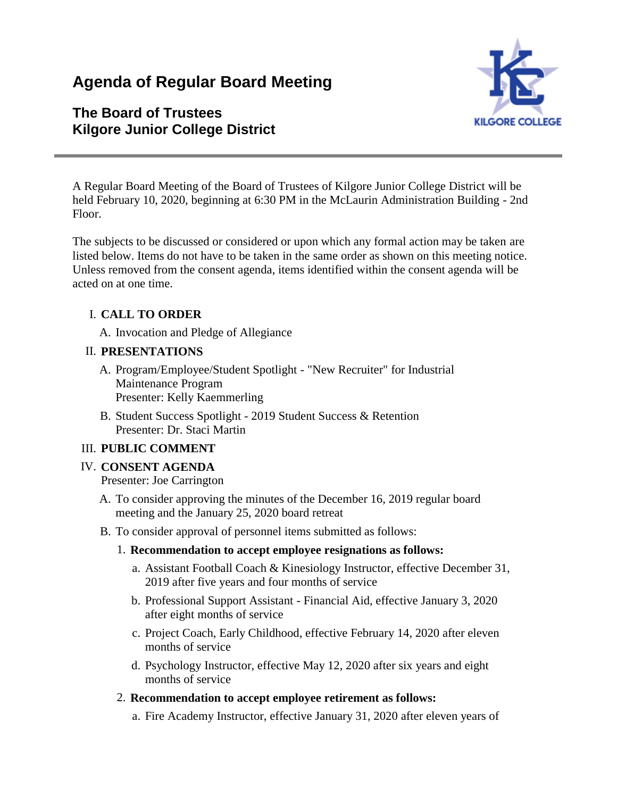# **Agenda of Regular Board Meeting**

## **The Board of Trustees Kilgore Junior College District**



A Regular Board Meeting of the Board of Trustees of Kilgore Junior College District will be held February 10, 2020, beginning at 6:30 PM in the McLaurin Administration Building - 2nd Floor.

The subjects to be discussed or considered or upon which any formal action may be taken are listed below. Items do not have to be taken in the same order as shown on this meeting notice. Unless removed from the consent agenda, items identified within the consent agenda will be acted on at one time.

## I. **CALL TO ORDER**

A. Invocation and Pledge of Allegiance

#### II. **PRESENTATIONS**

- A. Program/Employee/Student Spotlight "New Recruiter" for Industrial Maintenance Program Presenter: Kelly Kaemmerling
- B. Student Success Spotlight 2019 Student Success & Retention Presenter: Dr. Staci Martin

#### III. **PUBLIC COMMENT**

#### IV. **CONSENT AGENDA**

Presenter: Joe Carrington

- A. To consider approving the minutes of the December 16, 2019 regular board meeting and the January 25, 2020 board retreat
- B. To consider approval of personnel items submitted as follows:

#### 1. **Recommendation to accept employee resignations as follows:**

- a. Assistant Football Coach & Kinesiology Instructor, effective December 31, 2019 after five years and four months of service
- b. Professional Support Assistant Financial Aid, effective January 3, 2020 after eight months of service
- c. Project Coach, Early Childhood, effective February 14, 2020 after eleven months of service
- d. Psychology Instructor, effective May 12, 2020 after six years and eight months of service

#### 2. **Recommendation to accept employee retirement as follows:**

a. Fire Academy Instructor, effective January 31, 2020 after eleven years of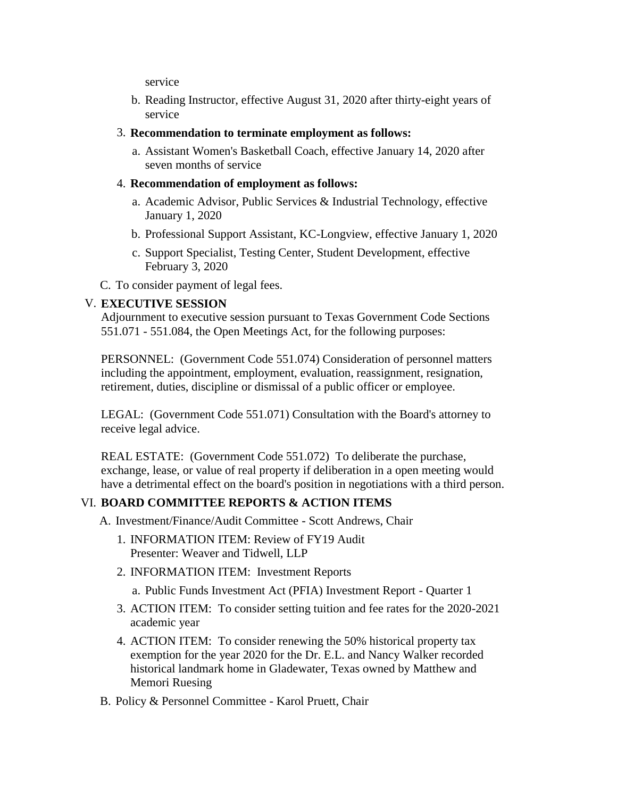service

- b. Reading Instructor, effective August 31, 2020 after thirty-eight years of service
- 3. **Recommendation to terminate employment as follows:**
	- a. Assistant Women's Basketball Coach, effective January 14, 2020 after seven months of service
- 4. **Recommendation of employment as follows:**
	- a. Academic Advisor, Public Services & Industrial Technology, effective January 1, 2020
	- b. Professional Support Assistant, KC-Longview, effective January 1, 2020
	- c. Support Specialist, Testing Center, Student Development, effective February 3, 2020
- C. To consider payment of legal fees.

#### V. **EXECUTIVE SESSION**

Adjournment to executive session pursuant to Texas Government Code Sections 551.071 - 551.084, the Open Meetings Act, for the following purposes:

PERSONNEL: (Government Code 551.074) Consideration of personnel matters including the appointment, employment, evaluation, reassignment, resignation, retirement, duties, discipline or dismissal of a public officer or employee.

LEGAL: (Government Code 551.071) Consultation with the Board's attorney to receive legal advice.

REAL ESTATE: (Government Code 551.072) To deliberate the purchase, exchange, lease, or value of real property if deliberation in a open meeting would have a detrimental effect on the board's position in negotiations with a third person.

#### VI. **BOARD COMMITTEE REPORTS & ACTION ITEMS**

- A. Investment/Finance/Audit Committee Scott Andrews, Chair
	- 1. INFORMATION ITEM: Review of FY19 Audit Presenter: Weaver and Tidwell, LLP
	- 2. INFORMATION ITEM: Investment Reports
		- a. Public Funds Investment Act (PFIA) Investment Report Quarter 1
	- 3. ACTION ITEM: To consider setting tuition and fee rates for the 2020-2021 academic year
	- 4. ACTION ITEM: To consider renewing the 50% historical property tax exemption for the year 2020 for the Dr. E.L. and Nancy Walker recorded historical landmark home in Gladewater, Texas owned by Matthew and Memori Ruesing
- B. Policy & Personnel Committee Karol Pruett, Chair